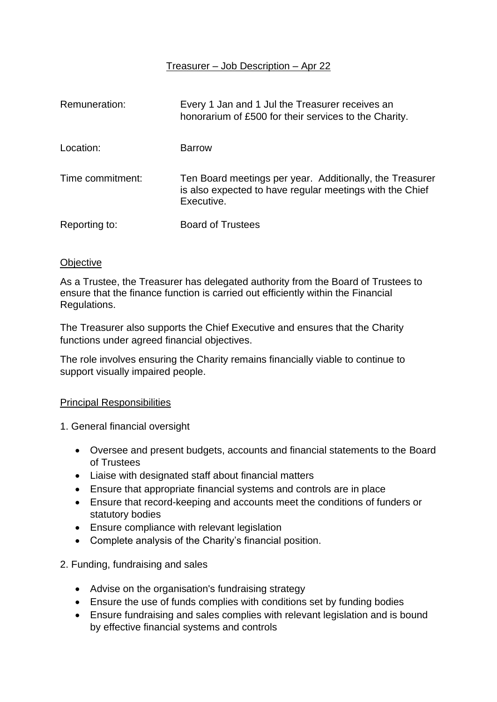# Treasurer – Job Description – Apr 22

| Remuneration:    | Every 1 Jan and 1 Jul the Treasurer receives an<br>honorarium of £500 for their services to the Charity.                           |
|------------------|------------------------------------------------------------------------------------------------------------------------------------|
| Location:        | <b>Barrow</b>                                                                                                                      |
| Time commitment: | Ten Board meetings per year. Additionally, the Treasurer<br>is also expected to have regular meetings with the Chief<br>Executive. |
| Reporting to:    | <b>Board of Trustees</b>                                                                                                           |

#### **Objective**

As a Trustee, the Treasurer has delegated authority from the Board of Trustees to ensure that the finance function is carried out efficiently within the Financial Regulations.

The Treasurer also supports the Chief Executive and ensures that the Charity functions under agreed financial objectives.

The role involves ensuring the Charity remains financially viable to continue to support visually impaired people.

### Principal Responsibilities

1. General financial oversight

- Oversee and present budgets, accounts and financial statements to the Board of Trustees
- Liaise with designated staff about financial matters
- Ensure that appropriate financial systems and controls are in place
- Ensure that record-keeping and accounts meet the conditions of funders or statutory bodies
- Ensure compliance with relevant legislation
- Complete analysis of the Charity's financial position.

### 2. Funding, fundraising and sales

- Advise on the organisation's fundraising strategy
- Ensure the use of funds complies with conditions set by funding bodies
- Ensure fundraising and sales complies with relevant legislation and is bound by effective financial systems and controls